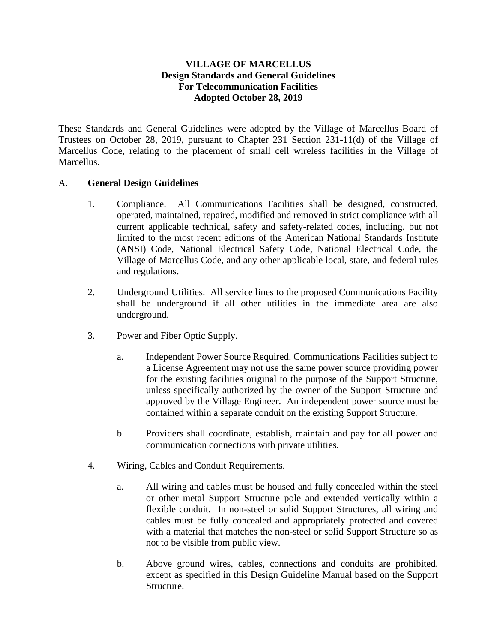## **VILLAGE OF MARCELLUS Design Standards and General Guidelines For Telecommunication Facilities Adopted October 28, 2019**

These Standards and General Guidelines were adopted by the Village of Marcellus Board of Trustees on October 28, 2019, pursuant to Chapter 231 Section 231-11(d) of the Village of Marcellus Code, relating to the placement of small cell wireless facilities in the Village of Marcellus.

## A. **General Design Guidelines**

- 1. Compliance. All Communications Facilities shall be designed, constructed, operated, maintained, repaired, modified and removed in strict compliance with all current applicable technical, safety and safety-related codes, including, but not limited to the most recent editions of the American National Standards Institute (ANSI) Code, National Electrical Safety Code, National Electrical Code, the Village of Marcellus Code, and any other applicable local, state, and federal rules and regulations.
- 2. Underground Utilities. All service lines to the proposed Communications Facility shall be underground if all other utilities in the immediate area are also underground.
- 3. Power and Fiber Optic Supply.
	- a. Independent Power Source Required. Communications Facilities subject to a License Agreement may not use the same power source providing power for the existing facilities original to the purpose of the Support Structure, unless specifically authorized by the owner of the Support Structure and approved by the Village Engineer. An independent power source must be contained within a separate conduit on the existing Support Structure.
	- b. Providers shall coordinate, establish, maintain and pay for all power and communication connections with private utilities.
- 4. Wiring, Cables and Conduit Requirements.
	- a. All wiring and cables must be housed and fully concealed within the steel or other metal Support Structure pole and extended vertically within a flexible conduit. In non-steel or solid Support Structures, all wiring and cables must be fully concealed and appropriately protected and covered with a material that matches the non-steel or solid Support Structure so as not to be visible from public view.
	- b. Above ground wires, cables, connections and conduits are prohibited, except as specified in this Design Guideline Manual based on the Support Structure.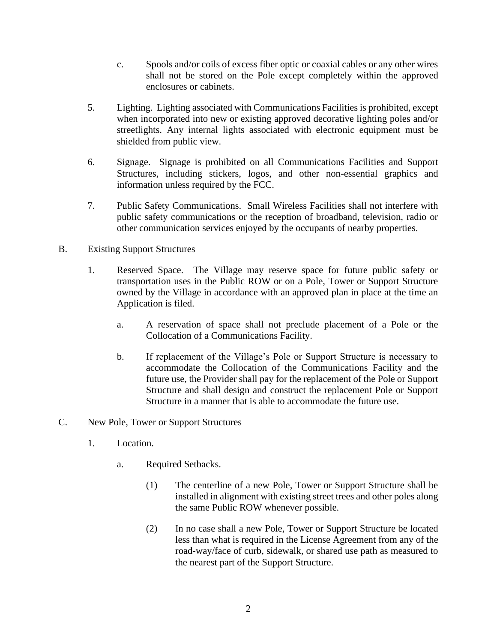- c. Spools and/or coils of excess fiber optic or coaxial cables or any other wires shall not be stored on the Pole except completely within the approved enclosures or cabinets.
- 5. Lighting. Lighting associated with Communications Facilities is prohibited, except when incorporated into new or existing approved decorative lighting poles and/or streetlights. Any internal lights associated with electronic equipment must be shielded from public view.
- 6. Signage. Signage is prohibited on all Communications Facilities and Support Structures, including stickers, logos, and other non-essential graphics and information unless required by the FCC.
- 7. Public Safety Communications. Small Wireless Facilities shall not interfere with public safety communications or the reception of broadband, television, radio or other communication services enjoyed by the occupants of nearby properties.
- B. Existing Support Structures
	- 1. Reserved Space. The Village may reserve space for future public safety or transportation uses in the Public ROW or on a Pole, Tower or Support Structure owned by the Village in accordance with an approved plan in place at the time an Application is filed.
		- a. A reservation of space shall not preclude placement of a Pole or the Collocation of a Communications Facility.
		- b. If replacement of the Village's Pole or Support Structure is necessary to accommodate the Collocation of the Communications Facility and the future use, the Provider shall pay for the replacement of the Pole or Support Structure and shall design and construct the replacement Pole or Support Structure in a manner that is able to accommodate the future use.
- C. New Pole, Tower or Support Structures
	- 1. Location.
		- a. Required Setbacks.
			- (1) The centerline of a new Pole, Tower or Support Structure shall be installed in alignment with existing street trees and other poles along the same Public ROW whenever possible.
			- (2) In no case shall a new Pole, Tower or Support Structure be located less than what is required in the License Agreement from any of the road-way/face of curb, sidewalk, or shared use path as measured to the nearest part of the Support Structure.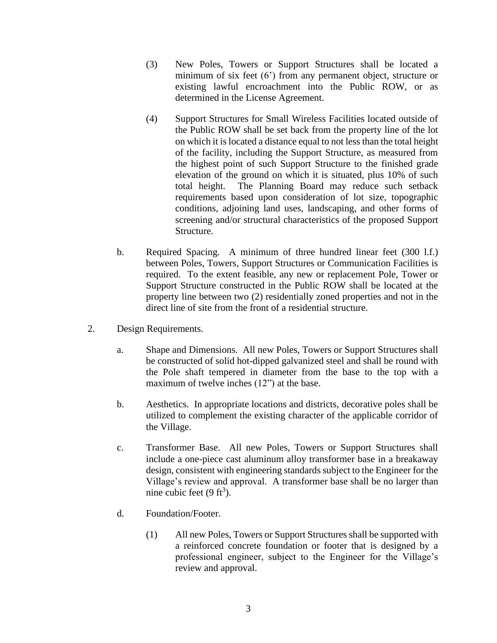- (3) New Poles, Towers or Support Structures shall be located a minimum of six feet (6') from any permanent object, structure or existing lawful encroachment into the Public ROW, or as determined in the License Agreement.
- (4) Support Structures for Small Wireless Facilities located outside of the Public ROW shall be set back from the property line of the lot on which it is located a distance equal to not less than the total height of the facility, including the Support Structure, as measured from the highest point of such Support Structure to the finished grade elevation of the ground on which it is situated, plus 10% of such total height. The Planning Board may reduce such setback requirements based upon consideration of lot size, topographic conditions, adjoining land uses, landscaping, and other forms of screening and/or structural characteristics of the proposed Support Structure.
- b. Required Spacing. A minimum of three hundred linear feet (300 l.f.) between Poles, Towers, Support Structures or Communication Facilities is required. To the extent feasible, any new or replacement Pole, Tower or Support Structure constructed in the Public ROW shall be located at the property line between two (2) residentially zoned properties and not in the direct line of site from the front of a residential structure.
- 2. Design Requirements.
	- a. Shape and Dimensions. All new Poles, Towers or Support Structures shall be constructed of solid hot-dipped galvanized steel and shall be round with the Pole shaft tempered in diameter from the base to the top with a maximum of twelve inches (12") at the base.
	- b. Aesthetics. In appropriate locations and districts, decorative poles shall be utilized to complement the existing character of the applicable corridor of the Village.
	- c. Transformer Base. All new Poles, Towers or Support Structures shall include a one-piece cast aluminum alloy transformer base in a breakaway design, consistent with engineering standards subject to the Engineer for the Village's review and approval. A transformer base shall be no larger than nine cubic feet  $(9 \text{ ft}^3)$ .
	- d. Foundation/Footer.
		- (1) All new Poles, Towers or Support Structures shall be supported with a reinforced concrete foundation or footer that is designed by a professional engineer, subject to the Engineer for the Village's review and approval.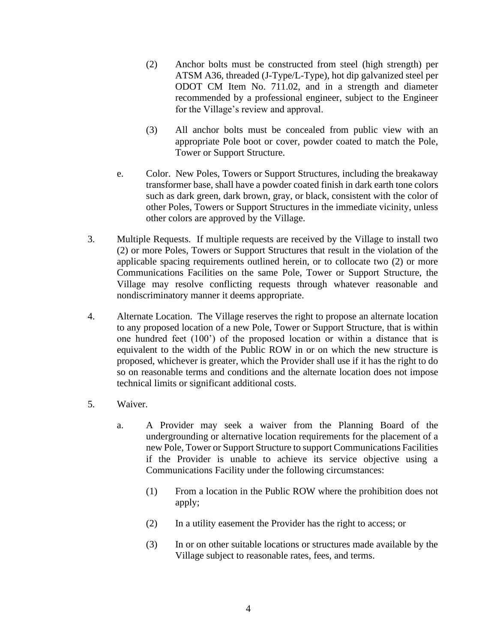- (2) Anchor bolts must be constructed from steel (high strength) per ATSM A36, threaded (J-Type/L-Type), hot dip galvanized steel per ODOT CM Item No. 711.02, and in a strength and diameter recommended by a professional engineer, subject to the Engineer for the Village's review and approval.
- (3) All anchor bolts must be concealed from public view with an appropriate Pole boot or cover, powder coated to match the Pole, Tower or Support Structure.
- e. Color. New Poles, Towers or Support Structures, including the breakaway transformer base, shall have a powder coated finish in dark earth tone colors such as dark green, dark brown, gray, or black, consistent with the color of other Poles, Towers or Support Structures in the immediate vicinity, unless other colors are approved by the Village.
- 3. Multiple Requests. If multiple requests are received by the Village to install two (2) or more Poles, Towers or Support Structures that result in the violation of the applicable spacing requirements outlined herein, or to collocate two (2) or more Communications Facilities on the same Pole, Tower or Support Structure, the Village may resolve conflicting requests through whatever reasonable and nondiscriminatory manner it deems appropriate.
- 4. Alternate Location. The Village reserves the right to propose an alternate location to any proposed location of a new Pole, Tower or Support Structure, that is within one hundred feet (100') of the proposed location or within a distance that is equivalent to the width of the Public ROW in or on which the new structure is proposed, whichever is greater, which the Provider shall use if it has the right to do so on reasonable terms and conditions and the alternate location does not impose technical limits or significant additional costs.
- 5. Waiver.
	- a. A Provider may seek a waiver from the Planning Board of the undergrounding or alternative location requirements for the placement of a new Pole, Tower or Support Structure to support Communications Facilities if the Provider is unable to achieve its service objective using a Communications Facility under the following circumstances:
		- (1) From a location in the Public ROW where the prohibition does not apply;
		- (2) In a utility easement the Provider has the right to access; or
		- (3) In or on other suitable locations or structures made available by the Village subject to reasonable rates, fees, and terms.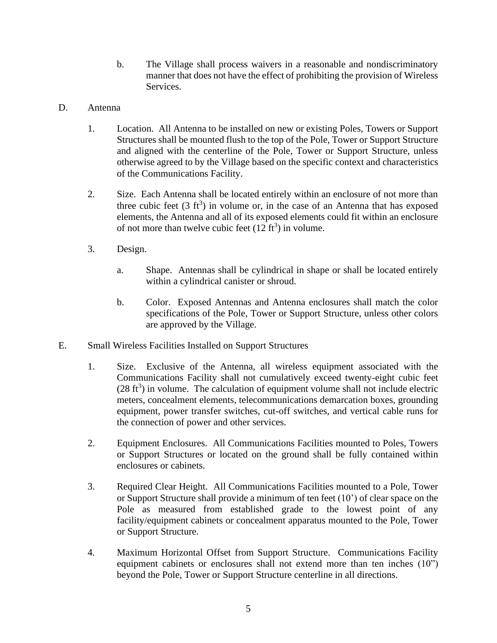- b. The Village shall process waivers in a reasonable and nondiscriminatory manner that does not have the effect of prohibiting the provision of Wireless Services.
- D. Antenna
	- 1. Location. All Antenna to be installed on new or existing Poles, Towers or Support Structures shall be mounted flush to the top of the Pole, Tower or Support Structure and aligned with the centerline of the Pole, Tower or Support Structure, unless otherwise agreed to by the Village based on the specific context and characteristics of the Communications Facility.
	- 2. Size. Each Antenna shall be located entirely within an enclosure of not more than three cubic feet  $(3 \text{ ft}^3)$  in volume or, in the case of an Antenna that has exposed elements, the Antenna and all of its exposed elements could fit within an enclosure of not more than twelve cubic feet  $(12 \text{ ft}^3)$  in volume.
	- 3. Design.
		- a. Shape. Antennas shall be cylindrical in shape or shall be located entirely within a cylindrical canister or shroud.
		- b. Color. Exposed Antennas and Antenna enclosures shall match the color specifications of the Pole, Tower or Support Structure, unless other colors are approved by the Village.
- E. Small Wireless Facilities Installed on Support Structures
	- 1. Size. Exclusive of the Antenna, all wireless equipment associated with the Communications Facility shall not cumulatively exceed twenty-eight cubic feet  $(28 \text{ ft}^3)$  in volume. The calculation of equipment volume shall not include electric meters, concealment elements, telecommunications demarcation boxes, grounding equipment, power transfer switches, cut-off switches, and vertical cable runs for the connection of power and other services.
	- 2. Equipment Enclosures. All Communications Facilities mounted to Poles, Towers or Support Structures or located on the ground shall be fully contained within enclosures or cabinets.
	- 3. Required Clear Height. All Communications Facilities mounted to a Pole, Tower or Support Structure shall provide a minimum of ten feet (10') of clear space on the Pole as measured from established grade to the lowest point of any facility/equipment cabinets or concealment apparatus mounted to the Pole, Tower or Support Structure.
	- 4. Maximum Horizontal Offset from Support Structure. Communications Facility equipment cabinets or enclosures shall not extend more than ten inches (10") beyond the Pole, Tower or Support Structure centerline in all directions.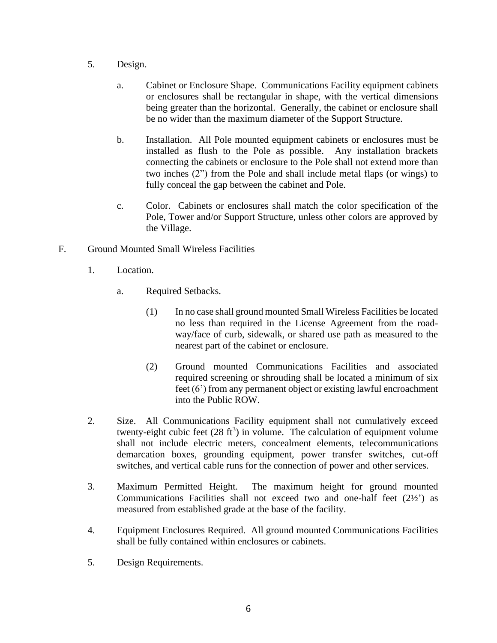- 5. Design.
	- a. Cabinet or Enclosure Shape. Communications Facility equipment cabinets or enclosures shall be rectangular in shape, with the vertical dimensions being greater than the horizontal. Generally, the cabinet or enclosure shall be no wider than the maximum diameter of the Support Structure.
	- b. Installation. All Pole mounted equipment cabinets or enclosures must be installed as flush to the Pole as possible. Any installation brackets connecting the cabinets or enclosure to the Pole shall not extend more than two inches (2") from the Pole and shall include metal flaps (or wings) to fully conceal the gap between the cabinet and Pole.
	- c. Color. Cabinets or enclosures shall match the color specification of the Pole, Tower and/or Support Structure, unless other colors are approved by the Village.
- F. Ground Mounted Small Wireless Facilities
	- 1. Location.
		- a. Required Setbacks.
			- (1) In no case shall ground mounted Small Wireless Facilities be located no less than required in the License Agreement from the roadway/face of curb, sidewalk, or shared use path as measured to the nearest part of the cabinet or enclosure.
			- (2) Ground mounted Communications Facilities and associated required screening or shrouding shall be located a minimum of six feet (6') from any permanent object or existing lawful encroachment into the Public ROW.
	- 2. Size. All Communications Facility equipment shall not cumulatively exceed twenty-eight cubic feet  $(28 \text{ ft}^3)$  in volume. The calculation of equipment volume shall not include electric meters, concealment elements, telecommunications demarcation boxes, grounding equipment, power transfer switches, cut-off switches, and vertical cable runs for the connection of power and other services.
	- 3. Maximum Permitted Height. The maximum height for ground mounted Communications Facilities shall not exceed two and one-half feet (2½') as measured from established grade at the base of the facility.
	- 4. Equipment Enclosures Required. All ground mounted Communications Facilities shall be fully contained within enclosures or cabinets.
	- 5. Design Requirements.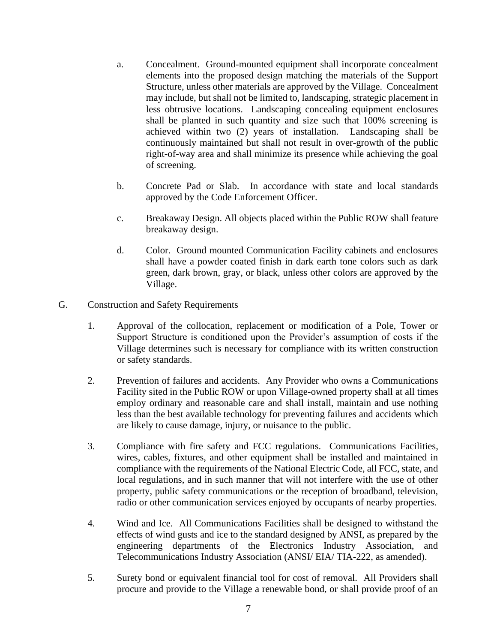- a. Concealment. Ground-mounted equipment shall incorporate concealment elements into the proposed design matching the materials of the Support Structure, unless other materials are approved by the Village. Concealment may include, but shall not be limited to, landscaping, strategic placement in less obtrusive locations. Landscaping concealing equipment enclosures shall be planted in such quantity and size such that 100% screening is achieved within two (2) years of installation. Landscaping shall be continuously maintained but shall not result in over-growth of the public right-of-way area and shall minimize its presence while achieving the goal of screening.
- b. Concrete Pad or Slab. In accordance with state and local standards approved by the Code Enforcement Officer.
- c. Breakaway Design. All objects placed within the Public ROW shall feature breakaway design.
- d. Color. Ground mounted Communication Facility cabinets and enclosures shall have a powder coated finish in dark earth tone colors such as dark green, dark brown, gray, or black, unless other colors are approved by the Village.
- G. Construction and Safety Requirements
	- 1. Approval of the collocation, replacement or modification of a Pole, Tower or Support Structure is conditioned upon the Provider's assumption of costs if the Village determines such is necessary for compliance with its written construction or safety standards.
	- 2. Prevention of failures and accidents. Any Provider who owns a Communications Facility sited in the Public ROW or upon Village-owned property shall at all times employ ordinary and reasonable care and shall install, maintain and use nothing less than the best available technology for preventing failures and accidents which are likely to cause damage, injury, or nuisance to the public.
	- 3. Compliance with fire safety and FCC regulations. Communications Facilities, wires, cables, fixtures, and other equipment shall be installed and maintained in compliance with the requirements of the National Electric Code, all FCC, state, and local regulations, and in such manner that will not interfere with the use of other property, public safety communications or the reception of broadband, television, radio or other communication services enjoyed by occupants of nearby properties.
	- 4. Wind and Ice. All Communications Facilities shall be designed to withstand the effects of wind gusts and ice to the standard designed by ANSI, as prepared by the engineering departments of the Electronics Industry Association, and Telecommunications Industry Association (ANSI/ EIA/ TIA-222, as amended).
	- 5. Surety bond or equivalent financial tool for cost of removal. All Providers shall procure and provide to the Village a renewable bond, or shall provide proof of an